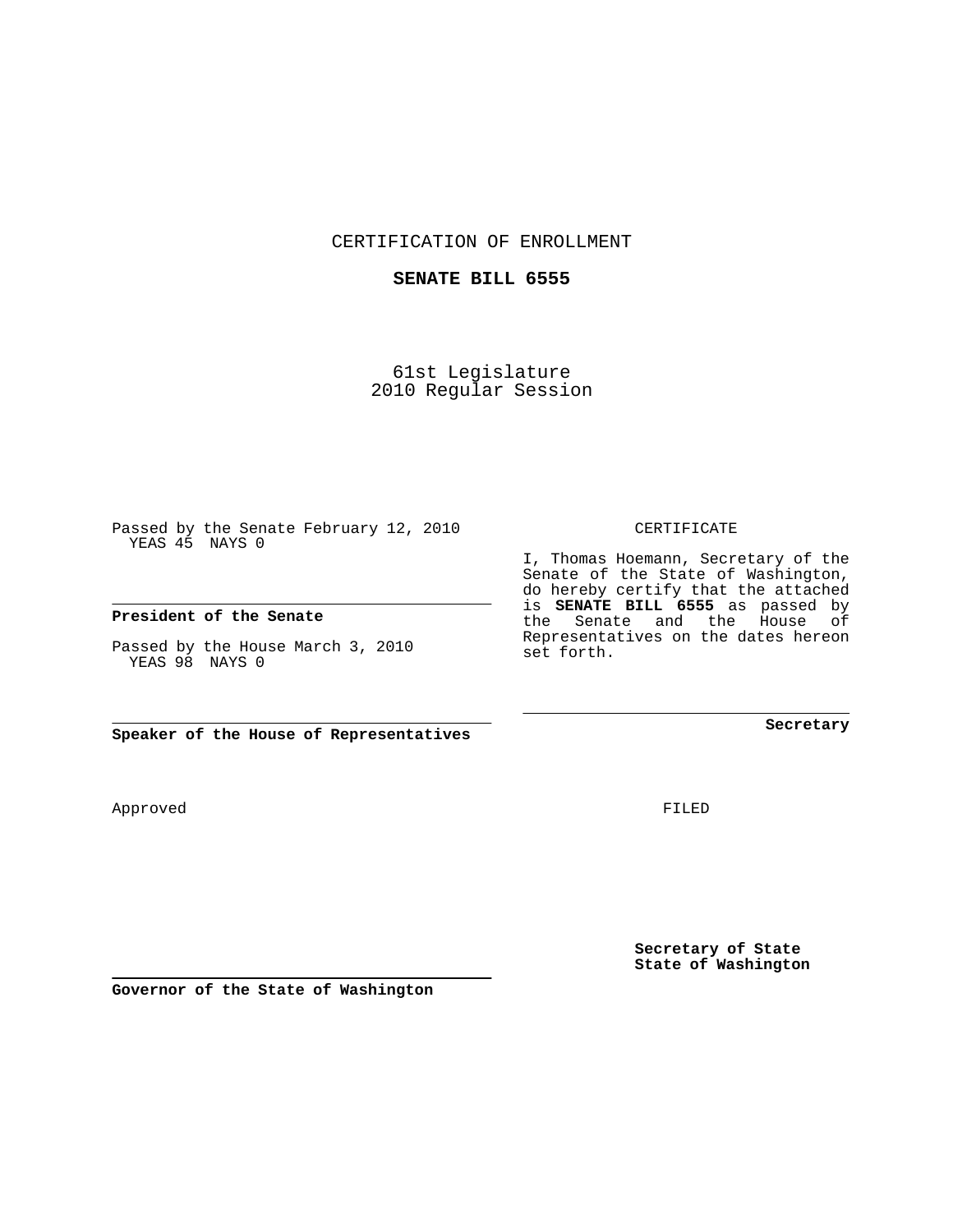CERTIFICATION OF ENROLLMENT

## **SENATE BILL 6555**

61st Legislature 2010 Regular Session

Passed by the Senate February 12, 2010 YEAS 45 NAYS 0

## **President of the Senate**

Passed by the House March 3, 2010 YEAS 98 NAYS 0

**Speaker of the House of Representatives**

Approved

FILED

**Secretary of State State of Washington**

**Governor of the State of Washington**

CERTIFICATE

I, Thomas Hoemann, Secretary of the Senate of the State of Washington, do hereby certify that the attached is **SENATE BILL 6555** as passed by the Senate and the House of Representatives on the dates hereon set forth.

**Secretary**